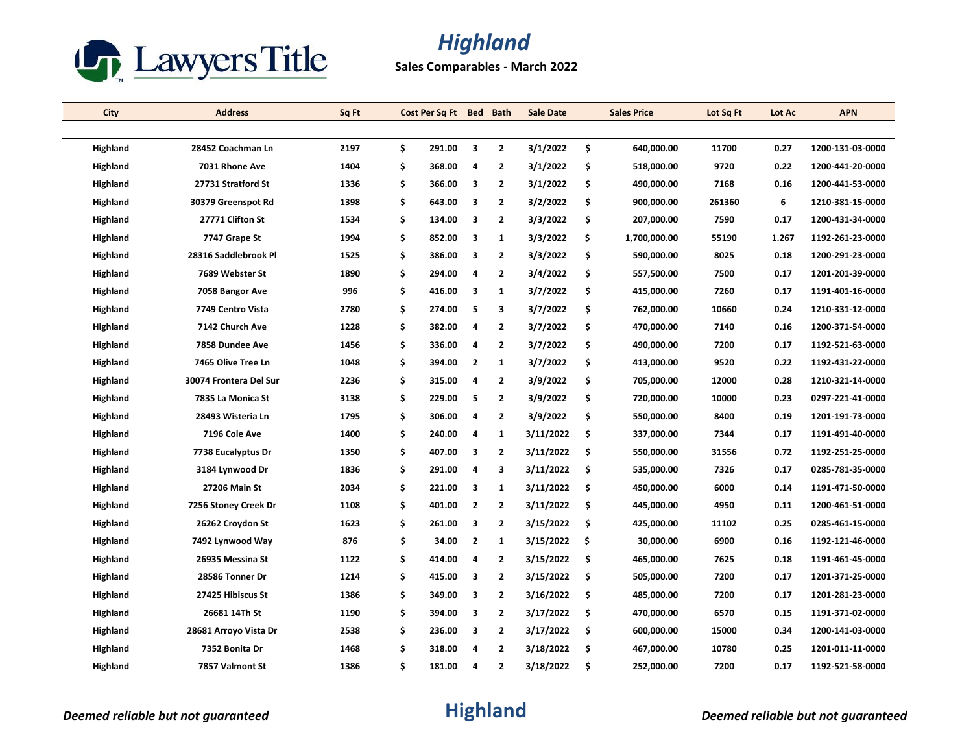

## *Highland*

**Sales Comparables - March 2022**

| City            | <b>Address</b>         | Sq Ft |    | Cost Per Sq Ft Bed |                         | <b>Bath</b>             | <b>Sale Date</b> | <b>Sales Price</b> | Lot Sq Ft | Lot Ac | <b>APN</b>       |
|-----------------|------------------------|-------|----|--------------------|-------------------------|-------------------------|------------------|--------------------|-----------|--------|------------------|
|                 |                        |       |    |                    |                         |                         |                  |                    |           |        |                  |
| <b>Highland</b> | 28452 Coachman Ln      | 2197  | \$ | 291.00             | $\overline{\mathbf{3}}$ | $\mathbf{2}$            | 3/1/2022         | \$<br>640,000.00   | 11700     | 0.27   | 1200-131-03-0000 |
| Highland        | 7031 Rhone Ave         | 1404  | \$ | 368.00             | 4                       | $\mathbf{2}$            | 3/1/2022         | \$<br>518,000.00   | 9720      | 0.22   | 1200-441-20-0000 |
| Highland        | 27731 Stratford St     | 1336  | \$ | 366.00             | 3                       | $\mathbf{2}$            | 3/1/2022         | \$<br>490,000.00   | 7168      | 0.16   | 1200-441-53-0000 |
| Highland        | 30379 Greenspot Rd     | 1398  | \$ | 643.00             | $\overline{\mathbf{3}}$ | $\overline{2}$          | 3/2/2022         | \$<br>900,000.00   | 261360    | 6      | 1210-381-15-0000 |
| Highland        | 27771 Clifton St       | 1534  | \$ | 134.00             | $\overline{\mathbf{3}}$ | $\mathbf{2}$            | 3/3/2022         | \$<br>207,000.00   | 7590      | 0.17   | 1200-431-34-0000 |
| Highland        | 7747 Grape St          | 1994  | \$ | 852.00             | 3                       | $\mathbf{1}$            | 3/3/2022         | \$<br>1,700,000.00 | 55190     | 1.267  | 1192-261-23-0000 |
| Highland        | 28316 Saddlebrook Pl   | 1525  | \$ | 386.00             | $\overline{\mathbf{3}}$ | $\mathbf{2}$            | 3/3/2022         | \$<br>590,000.00   | 8025      | 0.18   | 1200-291-23-0000 |
| Highland        | 7689 Webster St        | 1890  | \$ | 294.00             | 4                       | $\overline{2}$          | 3/4/2022         | \$<br>557,500.00   | 7500      | 0.17   | 1201-201-39-0000 |
| Highland        | 7058 Bangor Ave        | 996   | \$ | 416.00             | 3                       | 1                       | 3/7/2022         | \$<br>415,000.00   | 7260      | 0.17   | 1191-401-16-0000 |
| Highland        | 7749 Centro Vista      | 2780  | \$ | 274.00             | 5                       | 3                       | 3/7/2022         | \$<br>762,000.00   | 10660     | 0.24   | 1210-331-12-0000 |
| Highland        | 7142 Church Ave        | 1228  | \$ | 382.00             | 4                       | $\overline{2}$          | 3/7/2022         | \$<br>470,000.00   | 7140      | 0.16   | 1200-371-54-0000 |
| Highland        | 7858 Dundee Ave        | 1456  | \$ | 336.00             | 4                       | 2                       | 3/7/2022         | \$<br>490,000.00   | 7200      | 0.17   | 1192-521-63-0000 |
| Highland        | 7465 Olive Tree Ln     | 1048  | \$ | 394.00             | $\overline{2}$          | $\mathbf{1}$            | 3/7/2022         | \$<br>413,000.00   | 9520      | 0.22   | 1192-431-22-0000 |
| Highland        | 30074 Frontera Del Sur | 2236  | \$ | 315.00             | $\overline{a}$          | $\mathbf{2}$            | 3/9/2022         | \$<br>705,000.00   | 12000     | 0.28   | 1210-321-14-0000 |
| Highland        | 7835 La Monica St      | 3138  | \$ | 229.00             | 5                       | 2                       | 3/9/2022         | \$<br>720,000.00   | 10000     | 0.23   | 0297-221-41-0000 |
| Highland        | 28493 Wisteria Ln      | 1795  | \$ | 306.00             | $\overline{4}$          | $\overline{2}$          | 3/9/2022         | \$<br>550,000.00   | 8400      | 0.19   | 1201-191-73-0000 |
| Highland        | 7196 Cole Ave          | 1400  | \$ | 240.00             | 4                       | 1                       | 3/11/2022        | \$<br>337,000.00   | 7344      | 0.17   | 1191-491-40-0000 |
| Highland        | 7738 Eucalyptus Dr     | 1350  | \$ | 407.00             | 3                       | $\overline{2}$          | 3/11/2022        | \$<br>550,000.00   | 31556     | 0.72   | 1192-251-25-0000 |
| Highland        | 3184 Lynwood Dr        | 1836  | \$ | 291.00             | 4                       | 3                       | 3/11/2022        | \$<br>535,000.00   | 7326      | 0.17   | 0285-781-35-0000 |
| Highland        | <b>27206 Main St</b>   | 2034  | \$ | 221.00             | 3                       | $\mathbf{1}$            | 3/11/2022        | \$<br>450,000.00   | 6000      | 0.14   | 1191-471-50-0000 |
| Highland        | 7256 Stoney Creek Dr   | 1108  | \$ | 401.00             | $\overline{2}$          | $\overline{2}$          | 3/11/2022        | \$<br>445,000.00   | 4950      | 0.11   | 1200-461-51-0000 |
| Highland        | 26262 Croydon St       | 1623  | \$ | 261.00             | 3                       | $\overline{\mathbf{2}}$ | 3/15/2022        | \$<br>425,000.00   | 11102     | 0.25   | 0285-461-15-0000 |
| Highland        | 7492 Lynwood Way       | 876   | \$ | 34.00              | $\overline{2}$          | 1                       | 3/15/2022        | \$<br>30,000.00    | 6900      | 0.16   | 1192-121-46-0000 |
| Highland        | 26935 Messina St       | 1122  | \$ | 414.00             | $\overline{a}$          | 2                       | 3/15/2022        | \$<br>465,000.00   | 7625      | 0.18   | 1191-461-45-0000 |
| Highland        | 28586 Tonner Dr        | 1214  | \$ | 415.00             | 3                       | $\overline{2}$          | 3/15/2022        | \$<br>505,000.00   | 7200      | 0.17   | 1201-371-25-0000 |
| Highland        | 27425 Hibiscus St      | 1386  | \$ | 349.00             | $\overline{\mathbf{3}}$ | $\mathbf{2}$            | 3/16/2022        | \$<br>485,000.00   | 7200      | 0.17   | 1201-281-23-0000 |
| Highland        | 26681 14Th St          | 1190  | \$ | 394.00             | 3                       | $\overline{2}$          | 3/17/2022        | \$<br>470,000.00   | 6570      | 0.15   | 1191-371-02-0000 |
| Highland        | 28681 Arroyo Vista Dr  | 2538  | \$ | 236.00             | $\overline{\mathbf{3}}$ | $\overline{2}$          | 3/17/2022        | \$<br>600,000.00   | 15000     | 0.34   | 1200-141-03-0000 |
| Highland        | 7352 Bonita Dr         | 1468  | Ś  | 318.00             | 4                       | 2                       | 3/18/2022        | \$<br>467,000.00   | 10780     | 0.25   | 1201-011-11-0000 |
| Highland        | 7857 Valmont St        | 1386  | Ś  | 181.00             | Δ                       | $\overline{2}$          | 3/18/2022        | \$<br>252,000.00   | 7200      | 0.17   | 1192-521-58-0000 |